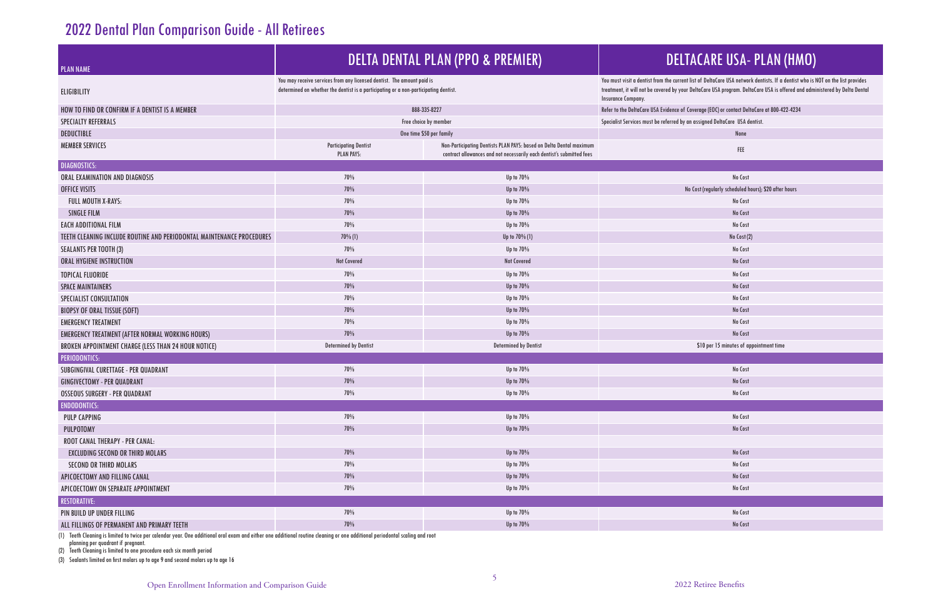## 2022 Dental Plan Comparison Guide - All Retirees

| <b>PLAN NAME</b>                                                      | <b>DELTA DENTAL PLAN (PPO &amp; PREMIER)</b>                                                                                                                   |                                                                                                                                              | <b>DELTACARE USA- PLAN (HMO)</b>                                                                                                                                                                                                                                                   |  |  |  |
|-----------------------------------------------------------------------|----------------------------------------------------------------------------------------------------------------------------------------------------------------|----------------------------------------------------------------------------------------------------------------------------------------------|------------------------------------------------------------------------------------------------------------------------------------------------------------------------------------------------------------------------------------------------------------------------------------|--|--|--|
| <b>ELIGIBILITY</b>                                                    | You may receive services from any licensed dentist. The amount paid is<br>determined on whether the dentist is a participating or a non-participating dentist. |                                                                                                                                              | You must visit a dentist from the current list of DeltaCare USA network dentists. If a dentist who is NOT on the list provides<br>treatment, it will not be covered by your DeltaCare USA program. DeltaCare USA is offered and administered by Delta Dental<br>Insurance Company. |  |  |  |
| HOW TO FIND OR CONFIRM IF A DENTIST IS A MEMBER                       |                                                                                                                                                                | 888-335-8227                                                                                                                                 | Refer to the DeltaCare USA Evidence of Coverage (EOC) or contact DeltaCare at 800-422-4234                                                                                                                                                                                         |  |  |  |
| <b>SPECIALTY REFERRALS</b>                                            | Free choice by member                                                                                                                                          |                                                                                                                                              | Specialist Services must be referred by an assigned DeltaCare USA dentist.                                                                                                                                                                                                         |  |  |  |
| DEDUCTIBLE                                                            | One time \$50 per family                                                                                                                                       |                                                                                                                                              | None                                                                                                                                                                                                                                                                               |  |  |  |
| <b>MEMBER SERVICES</b>                                                | <b>Participating Dentist</b><br><b>PLAN PAYS:</b>                                                                                                              | Non-Participating Dentists PLAN PAYS: based on Delta Dental maximum<br>contract allowances and not necessarily each dentist's submitted fees | FEE                                                                                                                                                                                                                                                                                |  |  |  |
| <b>DIAGNOSTICS:</b>                                                   |                                                                                                                                                                |                                                                                                                                              |                                                                                                                                                                                                                                                                                    |  |  |  |
| ORAL EXAMINATION AND DIAGNOSIS                                        | 70%                                                                                                                                                            | Up to 70%                                                                                                                                    | No Cost                                                                                                                                                                                                                                                                            |  |  |  |
| OFFICE VISITS                                                         | 70%                                                                                                                                                            | Up to 70%                                                                                                                                    | No Cost (regularly scheduled hours); \$20 after hours                                                                                                                                                                                                                              |  |  |  |
| FULL MOUTH X-RAYS:                                                    | 70%                                                                                                                                                            | Up to 70%                                                                                                                                    | No Cost                                                                                                                                                                                                                                                                            |  |  |  |
| <b>SINGLE FILM</b>                                                    | 70%                                                                                                                                                            | Up to 70%                                                                                                                                    | No Cost                                                                                                                                                                                                                                                                            |  |  |  |
| <b>EACH ADDITIONAL FILM</b>                                           | 70%                                                                                                                                                            | Up to 70%                                                                                                                                    | No Cost                                                                                                                                                                                                                                                                            |  |  |  |
| TEETH CLEANING INCLUDE ROUTINE AND PERIODONTAL MAINTENANCE PROCEDURES | $70\%$ (1)                                                                                                                                                     | Up to 70% (1)                                                                                                                                | No Cost (2)                                                                                                                                                                                                                                                                        |  |  |  |
| <b>SEALANTS PER TOOTH (3)</b>                                         | 70%                                                                                                                                                            | Up to 70%                                                                                                                                    | No Cost                                                                                                                                                                                                                                                                            |  |  |  |
| ORAL HYGIENE INSTRUCTION                                              | Not Covered                                                                                                                                                    | <b>Not Covered</b>                                                                                                                           | No Cost                                                                                                                                                                                                                                                                            |  |  |  |
| <b>TOPICAL FLUORIDE</b>                                               | 70%                                                                                                                                                            | Up to 70%                                                                                                                                    | No Cost                                                                                                                                                                                                                                                                            |  |  |  |
| <b>SPACE MAINTAINERS</b>                                              | 70%                                                                                                                                                            | Up to 70%                                                                                                                                    | No Cost                                                                                                                                                                                                                                                                            |  |  |  |
| SPECIALIST CONSULTATION                                               | 70%                                                                                                                                                            | Up to 70%                                                                                                                                    | No Cost                                                                                                                                                                                                                                                                            |  |  |  |
| <b>BIOPSY OF ORAL TISSUE (SOFT)</b>                                   | 70%                                                                                                                                                            | Up to 70%                                                                                                                                    | No Cost                                                                                                                                                                                                                                                                            |  |  |  |
| <b>EMERGENCY TREATMENT</b>                                            | 70%                                                                                                                                                            | Up to 70%                                                                                                                                    | No Cost                                                                                                                                                                                                                                                                            |  |  |  |
| EMERGENCY TREATMENT (AFTER NORMAL WORKING HOURS)                      | 70%                                                                                                                                                            | Up to 70%                                                                                                                                    | No Cost                                                                                                                                                                                                                                                                            |  |  |  |
| BROKEN APPOINTMENT CHARGE (LESS THAN 24 HOUR NOTICE)                  | <b>Determined by Dentist</b>                                                                                                                                   | <b>Determined by Dentist</b>                                                                                                                 | \$10 per 15 minutes of appointment time                                                                                                                                                                                                                                            |  |  |  |
| <b>PERIODONTICS:</b>                                                  |                                                                                                                                                                |                                                                                                                                              |                                                                                                                                                                                                                                                                                    |  |  |  |
| SUBGINGIVAL CURETTAGE - PER QUADRANT                                  | 70%                                                                                                                                                            | Up to 70%                                                                                                                                    | No Cost                                                                                                                                                                                                                                                                            |  |  |  |
| <b>GINGIVECTOMY - PER QUADRANT</b>                                    | 70%                                                                                                                                                            | Up to 70%                                                                                                                                    | No Cost                                                                                                                                                                                                                                                                            |  |  |  |
| <b>OSSEOUS SURGERY - PER QUADRANT</b>                                 | 70%                                                                                                                                                            | Up to $70\%$                                                                                                                                 | No Cost                                                                                                                                                                                                                                                                            |  |  |  |
| <b>ENDODONTICS:</b>                                                   |                                                                                                                                                                |                                                                                                                                              |                                                                                                                                                                                                                                                                                    |  |  |  |
| PULP CAPPING                                                          | 70%                                                                                                                                                            | Up to $70\%$                                                                                                                                 | No Cost                                                                                                                                                                                                                                                                            |  |  |  |
| PULPOTOMY                                                             | 70%                                                                                                                                                            | Up to 70%                                                                                                                                    | No Cost                                                                                                                                                                                                                                                                            |  |  |  |
| <b>ROOT CANAL THERAPY - PER CANAL:</b>                                |                                                                                                                                                                |                                                                                                                                              |                                                                                                                                                                                                                                                                                    |  |  |  |
| <b>EXCLUDING SECOND OR THIRD MOLARS</b>                               | 70%                                                                                                                                                            | Up to 70%                                                                                                                                    | No Cost                                                                                                                                                                                                                                                                            |  |  |  |
| <b>SECOND OR THIRD MOLARS</b>                                         | 70%                                                                                                                                                            | Up to 70%                                                                                                                                    | No Cost                                                                                                                                                                                                                                                                            |  |  |  |
| APICOECTOMY AND FILLING CANAL                                         | 70%                                                                                                                                                            | Up to 70%                                                                                                                                    | No Cost                                                                                                                                                                                                                                                                            |  |  |  |
| APICOECTOMY ON SEPARATE APPOINTMENT                                   | $70\%$                                                                                                                                                         | Up to 70%                                                                                                                                    | No Cost                                                                                                                                                                                                                                                                            |  |  |  |
| <b>RESTORATIVE:</b>                                                   |                                                                                                                                                                |                                                                                                                                              |                                                                                                                                                                                                                                                                                    |  |  |  |
| PIN BUILD UP UNDER FILLING                                            | 70%                                                                                                                                                            | Up to 70%                                                                                                                                    | No Cost                                                                                                                                                                                                                                                                            |  |  |  |
| ALL FILLINGS OF PERMANENT AND PRIMARY TEETH                           | 70%                                                                                                                                                            | Up to 70%                                                                                                                                    | No Cost                                                                                                                                                                                                                                                                            |  |  |  |

(1) Teeth Cleaning is limited to twice per calendar year. One additional oral exam and either one additional routine cleaning or one additional periodontal scaling and root planning per quadrant if pregnant.

(2) Teeth Cleaning is limited to one procedure each six month period

(3) Sealants limited on first molars up to age 9 and second molars up to age 16